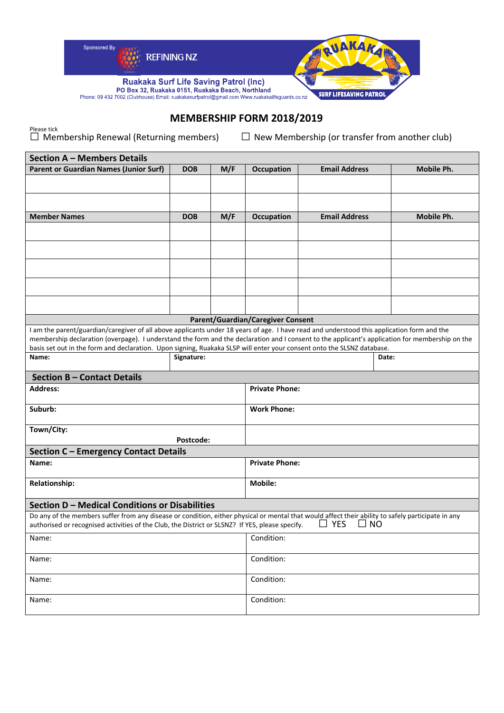

## **MEMBERSHIP FORM 2018/2019**

Please tick<br>□ Membership Renewal (Returning members) □ New Membership (or transfer from another club)

| <b>Section A - Members Details</b>                                                                                                                                                                                                                                                                                                                                                                                      |                     |     |                                          |                           |            |
|-------------------------------------------------------------------------------------------------------------------------------------------------------------------------------------------------------------------------------------------------------------------------------------------------------------------------------------------------------------------------------------------------------------------------|---------------------|-----|------------------------------------------|---------------------------|------------|
| <b>Parent or Guardian Names (Junior Surf)</b>                                                                                                                                                                                                                                                                                                                                                                           | <b>DOB</b>          | M/F | Occupation                               | <b>Email Address</b>      | Mobile Ph. |
|                                                                                                                                                                                                                                                                                                                                                                                                                         |                     |     |                                          |                           |            |
|                                                                                                                                                                                                                                                                                                                                                                                                                         |                     |     |                                          |                           |            |
| <b>Member Names</b>                                                                                                                                                                                                                                                                                                                                                                                                     | <b>DOB</b>          | M/F | Occupation                               | <b>Email Address</b>      | Mobile Ph. |
|                                                                                                                                                                                                                                                                                                                                                                                                                         |                     |     |                                          |                           |            |
|                                                                                                                                                                                                                                                                                                                                                                                                                         |                     |     |                                          |                           |            |
|                                                                                                                                                                                                                                                                                                                                                                                                                         |                     |     |                                          |                           |            |
|                                                                                                                                                                                                                                                                                                                                                                                                                         |                     |     |                                          |                           |            |
|                                                                                                                                                                                                                                                                                                                                                                                                                         |                     |     |                                          |                           |            |
|                                                                                                                                                                                                                                                                                                                                                                                                                         |                     |     | <b>Parent/Guardian/Caregiver Consent</b> |                           |            |
| I am the parent/guardian/caregiver of all above applicants under 18 years of age. I have read and understood this application form and the<br>membership declaration (overpage). I understand the form and the declaration and I consent to the applicant's application for membership on the<br>basis set out in the form and declaration. Upon signing, Ruakaka SLSP will enter your consent onto the SLSNZ database. |                     |     |                                          |                           |            |
| Name:                                                                                                                                                                                                                                                                                                                                                                                                                   | Signature:<br>Date: |     |                                          |                           |            |
| <b>Section B - Contact Details</b>                                                                                                                                                                                                                                                                                                                                                                                      |                     |     |                                          |                           |            |
| <b>Address:</b>                                                                                                                                                                                                                                                                                                                                                                                                         |                     |     | <b>Private Phone:</b>                    |                           |            |
| Suburb:                                                                                                                                                                                                                                                                                                                                                                                                                 |                     |     | <b>Work Phone:</b>                       |                           |            |
| Town/City:<br>Postcode:                                                                                                                                                                                                                                                                                                                                                                                                 |                     |     |                                          |                           |            |
| <b>Section C - Emergency Contact Details</b>                                                                                                                                                                                                                                                                                                                                                                            |                     |     |                                          |                           |            |
| <b>Private Phone:</b><br>Name:                                                                                                                                                                                                                                                                                                                                                                                          |                     |     |                                          |                           |            |
|                                                                                                                                                                                                                                                                                                                                                                                                                         |                     |     |                                          |                           |            |
| Relationship:                                                                                                                                                                                                                                                                                                                                                                                                           |                     |     | <b>Mobile:</b>                           |                           |            |
| Section D - Medical Conditions or Disabilities                                                                                                                                                                                                                                                                                                                                                                          |                     |     |                                          |                           |            |
| Do any of the members suffer from any disease or condition, either physical or mental that would affect their ability to safely participate in any<br>authorised or recognised activities of the Club, the District or SLSNZ? If YES, please specify.                                                                                                                                                                   |                     |     |                                          | $\sqcup$ Yes<br>$\Box$ No |            |
| Name:                                                                                                                                                                                                                                                                                                                                                                                                                   |                     |     | Condition:                               |                           |            |
| Name:                                                                                                                                                                                                                                                                                                                                                                                                                   |                     |     | Condition:                               |                           |            |
| Name:                                                                                                                                                                                                                                                                                                                                                                                                                   |                     |     | Condition:                               |                           |            |
| Name:                                                                                                                                                                                                                                                                                                                                                                                                                   |                     |     | Condition:                               |                           |            |
|                                                                                                                                                                                                                                                                                                                                                                                                                         |                     |     |                                          |                           |            |